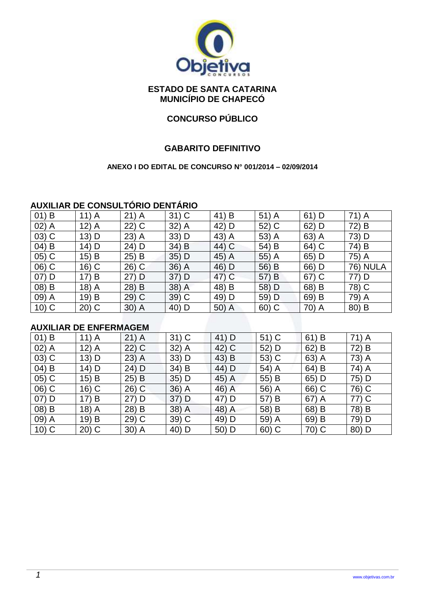

#### **ESTADO DE SANTA CATARINA MUNICÍPIO DE CHAPECÓ**

#### **CONCURSO PÚBLICO**

#### **GABARITO DEFINITIVO**

#### **ANEXO I DO EDITAL DE CONCURSO N° 001/2014 – 02/09/2014**

#### **AUXILIAR DE CONSULTÓRIO DENTÁRIO**

|          |         |         | .       |                     |         |           |                 |
|----------|---------|---------|---------|---------------------|---------|-----------|-----------------|
| $01)$ B  | $11)$ A | $21)$ A | $31)$ C | 41<br>B             | $51)$ A | 61<br>) D | 71) A           |
| $02)$ A  | $12)$ A | $22)$ C | $32)$ A | 42)<br>⊢D           | 52) C   | $62)$ D   | 72)<br>B        |
| $03)$ C  | 13) D   | $23)$ A | $33)$ D | 43) A               | 53) A   | $63)$ A   | 73) D           |
| $04)$ B  | 14) D   | 24) D   | 34) B   | 44) C               | 54) B   | 64) C     | 74) B           |
| $(05)$ C | 15) B   | 25) B   | $35)$ D | 45)<br>A            | $55)$ A | 65) D     | 75) A           |
| 06) C    | $16)$ C | $26)$ C | 36) A   | 46) D               | 56) B   | 66) D     | <b>76) NULA</b> |
| $07)$ D  | 17) B   | $27)$ D | 37) D   | 47) C               | 57) B   | $67)$ C   | 77) D           |
| 08) B    | 18) A   | $28)$ B | 38) A   | 48)<br>B            | 58) D   | 68) B     | 78) C           |
| 09) A    | 19) B   | $29)$ C | $39)$ C | 49) D               | 59) D   | 69) B     | 79) A           |
| $10)$ C  | $20)$ C | 30) A   | 40) D   | 50)<br>$\mathsf{A}$ | $60)$ C | 70) A     | 80) B           |

#### **AUXILIAR DE ENFERMAGEM**

| $01)$ B  | $11)$ A | $21)$ A  | $31)$ C | 41) D | $51)$ C | 61)<br>B | 71) A |
|----------|---------|----------|---------|-------|---------|----------|-------|
| $02)$ A  | $12)$ A | $22)$ C  | $32)$ A | 42) C | 52) D   | 62)<br>B | 72) B |
| $(03)$ C | 13) D   | $23)$ A  | 33) D   | 43) B | 53) C   | 63) A    | 73) A |
| $04)$ B  | 14) D   | 24) D    | 34) B   | 44) D | 54) A   | 64) B    | 74) A |
| $(05)$ C | 15) B   | 25)<br>B | $35)$ D | 45) A | 55) B   | 65) D    | 75) D |
| 06) C    | $16)$ C | $26)$ C  | $36)$ A | 46) A | 56) A   | 66) C    | 76) C |
| $07)$ D  | 17) B   | $27)$ D  | $37)$ D | 47) D | 57) B   | $67)$ A  | 77) C |
| 08) B    | $18)$ A | 28) B    | 38) A   | 48) A | 58) B   | 68) B    | 78) B |
| 09) A    | 19) B   | $29)$ C  | 39) C   | 49) D | 59) A   | 69)<br>B | 79) D |
| $10)$ C  | $20)$ C | $30)$ A  | 40) D   | 50) D | $60)$ C | 70) C    | 80) D |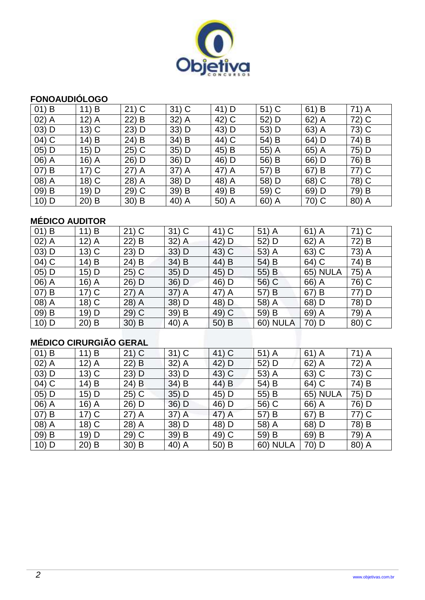

# **FONOAUDIÓLOGO**

| $01)$ B  | 11) B   | $21)$ C | $31)$ C  | 41<br>) D | $51)$ C  | 61)<br>B            | 71) A |
|----------|---------|---------|----------|-----------|----------|---------------------|-------|
| $02)$ A  | $12)$ A | $22)$ B | 32) A    | 42) C     | 52) D    | $62)$ A             | 72) C |
| $03)$ D  | $13)$ C | $23)$ D | 33) D    | 43) D     | 53) D    | 63) A               | 73) C |
| 04) C    | $14)$ B | 24) B   | 34) B    | 44) C     | 54) B    | 64) D               | 74) B |
| 05) D    | $15)$ D | $25)$ C | $35)$ D  | 45) B     | 55) A    | 65)<br>$\mathsf{A}$ | 75) D |
| 06) A    | $16)$ A | 26) D   | 36) D    | 46) D     | 56) B    | 66) D               | 76) B |
| 07) B    | $17)$ C | $27)$ A | 37) A    | 47) A     | 57) B    | 67)<br>B            | 77) C |
| 08) A    | $18)$ C | 28) A   | 38) D    | 48) A     | 58) D    | 68) C               | 78) C |
| $(09)$ B | 19) D   | $29)$ C | 39) B    | 49) B     | 59) C    | 69) D               | 79) B |
| $10)$ D  | $20)$ B | $30)$ B | 40)<br>A | 50) A     | 60)<br>A | 70) C               | 80) A |

### **MÉDICO AUDITOR**

| $01)$ B | 11) B                         | $21)$ C | $31)$ C | 41) C    | $51)$ A         | $61)$ A         | 71) C |
|---------|-------------------------------|---------|---------|----------|-----------------|-----------------|-------|
| $02)$ A | 12) A                         | 22) B   | $32)$ A | 42) D    | 52) D           | $62)$ A         | 72) B |
| $03)$ D | $13)$ C                       | 23) D   | 33) D   | 43) C    | 53) A           | $63)$ C         | 73) A |
| 04) C   | 14) B                         | 24) B   | 34) B   | 44)<br>B | 54) B           | 64) C           | 74) B |
| $05)$ D | 15) D                         | $25)$ C | 35) D   | 45) D    | 55) B           | <b>65) NULA</b> | 75) A |
| 06) A   | 16) A                         | 26) D   | 36) D   | 46) D    | 56) C           | 66) A           | 76) C |
| 07) B   | $17)$ C                       | 27) A   | $37)$ A | 47) A    | 57) B           | 67) B           | 77) D |
| 08) A   | 18) C                         | 28) A   | 38) D   | 48) D    | 58) A           | 68) D           | 78) D |
| $09)$ B | 19) D                         | 29) C   | 39) B   | 49) C    | 59) B           | 69) A           | 79) A |
| $10)$ D | $20)$ B                       | $30)$ B | 40) A   | 50) B    | <b>60) NULA</b> | 70) D           | 80) C |
|         |                               |         |         |          |                 |                 |       |
|         | <b>MÉDICO CIRURGIÃO GERAL</b> |         |         |          |                 |                 |       |

# **MÉDICO CIRURGIÃO GERAL**

| $01)$ B | 11) B   | $21)$ C | $31)$ C | 41) C | $51)$ A         | $61)$ A         | 71) A |
|---------|---------|---------|---------|-------|-----------------|-----------------|-------|
| $02)$ A | $12)$ A | $22)$ B | 32) A   | 42) D | 52) D           | $62)$ A         | 72) A |
| $03)$ D | $13)$ C | $23)$ D | 33) D   | 43) C | 53) A           | 63) C           | 73) C |
| 04) C   | 14) B   | 24) B   | $34)$ B | 44) B | 54) B           | 64) C           | 74) B |
| $05)$ D | 15) D   | $25)$ C | $35)$ D | 45) D | 55) B           | <b>65) NULA</b> | 75) D |
| 06) A   | $16)$ A | 26) D   | 36) D   | 46) D | 56) C           | 66) A           | 76) D |
| 07) B   | $17)$ C | $27)$ A | $37)$ A | 47) A | 57) B           | 67) B           | 77) C |
| 08) A   | $18)$ C | 28) A   | 38) D   | 48) D | 58) A           | 68) D           | 78) B |
| 09) B   | 19) D   | $29)$ C | 39) B   | 49) C | 59) B           | 69) B           | 79) A |
| $10)$ D | $20)$ B | $30)$ B | 40) A   | 50) B | <b>60) NULA</b> | 70) D           | 80) A |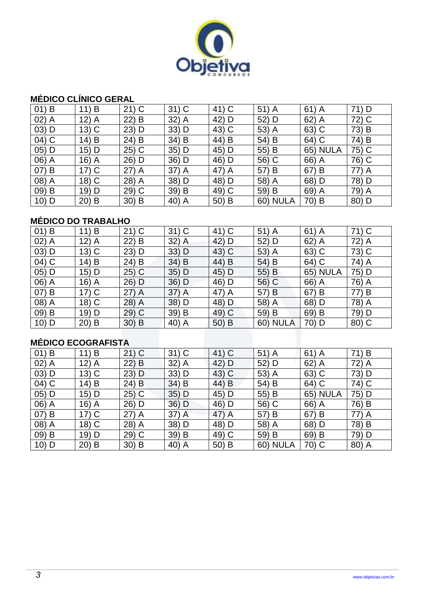

#### **MÉDICO CLÍNICO GERAL**

| $01)$ B | 11) B   | $21)$ C | $31)$ C | 41) C | $51)$ A         | $61)$ A         | 71) D |
|---------|---------|---------|---------|-------|-----------------|-----------------|-------|
| $02)$ A | $12)$ A | $22)$ B | 32) A   | 42) D | 52) D           | $62)$ A         | 72) C |
| $03)$ D | $13)$ C | $23)$ D | 33) D   | 43) C | 53) A           | 63) C           | 73) B |
| 04) C   | $14)$ B | $24)$ B | 34) B   | 44) B | 54) B           | 64) C           | 74) B |
| 05) D   | $15)$ D | $25)$ C | $35)$ D | 45) D | 55) B           | <b>65) NULA</b> | 75) C |
| 06) A   | $16)$ A | 26) D   | 36) D   | 46) D | 56) C           | 66) A           | 76) C |
| 07) B   | $17)$ C | $27)$ A | 37) A   | 47) A | 57) B           | 67) B           | 77) A |
| 08) A   | $18)$ C | 28) A   | 38) D   | 48) D | 58) A           | 68) D           | 78) D |
| 09) B   | 19) D   | 29) C   | 39) B   | 49) C | 59) B           | 69) A           | 79) A |
| $10)$ D | $20)$ B | $30)$ B | 40) A   | 50) B | <b>60) NULA</b> | 70) B           | 80) D |

### **MÉDICO DO TRABALHO**

| $01)$ B | 11) B    | $21)$ C | $31)$ C | 41) C | $51)$ A         | $61)$ A         | 71) C |
|---------|----------|---------|---------|-------|-----------------|-----------------|-------|
| $02)$ A | 12)<br>A | $22)$ B | $32)$ A | 42) D | 52) D           | $62)$ A         | 72) A |
| $03)$ D | $13)$ C  | $23)$ D | $33)$ D | 43) C | $53)$ A         | 63) C           | 73) C |
| 04) C   | $14)$ B  | 24) B   | 34) B   | 44) B | 54) B           | 64) C           | 74) A |
| 05) D   | $15)$ D  | $25)$ C | $35)$ D | 45) D | 55) B           | <b>65) NULA</b> | 75) D |
| 06) A   | $16)$ A  | $26)$ D | 36) D   | 46) D | 56) C           | 66) A           | 76) A |
| 07) B   | $17)$ C  | $27)$ A | $37)$ A | 47) A | 57) B           | 67) B           | 77) B |
| 08) A   | 18) C    | 28) A   | 38) D   | 48) D | 58) A           | 68) D           | 78) A |
| 09) B   | 19) D    | 29) C   | 39) B   | 49) C | 59) B           | 69) B           | 79) D |
| $10)$ D | $20)$ B  | $30)$ B | 40) A   | 50) B | <b>60) NULA</b> | 70) D           | 80) C |

### **MÉDICO ECOGRAFISTA**

| $01)$ B | 11) B   | $21)$ C | $31)$ C | 41) C | $51)$ A         | $61)$ A         | 71) B |
|---------|---------|---------|---------|-------|-----------------|-----------------|-------|
| $02)$ A | $12)$ A | 22) B   | 32) A   | 42) D | 52) D           | $62)$ A         | 72) A |
| $03)$ D | $13)$ C | $23)$ D | 33) D   | 43) C | 53) A           | 63) C           | 73) D |
| $04)$ C | 14) B   | 24) B   | 34) B   | 44) B | 54) B           | 64) C           | 74) C |
| 05) D   | 15) D   | $25)$ C | $35)$ D | 45) D | 55) B           | <b>65) NULA</b> | 75) D |
| 06) A   | 16) A   | 26) D   | 36) D   | 46) D | 56) C           | 66) A           | 76) B |
| 07) B   | $17)$ C | $27)$ A | $37)$ A | 47) A | 57) B           | 67) B           | 77) A |
| 08) A   | 18) C   | 28) A   | 38) D   | 48) D | 58) A           | 68) D           | 78) B |
| 09) B   | 19) D   | $29)$ C | 39) B   | 49) C | 59) B           | 69) B           | 79) D |
| $10)$ D | $20)$ B | $30)$ B | 40) A   | 50) B | <b>60) NULA</b> | 70) C           | 80) A |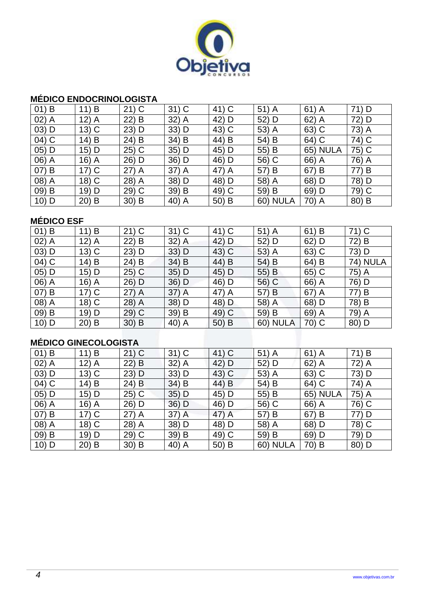

#### **MÉDICO ENDOCRINOLOGISTA**

| $01)$ B | B<br>11 | $21)$ C | $31)$ C | 41) C | $51)$ A         | $61)$ A         | 71) D |
|---------|---------|---------|---------|-------|-----------------|-----------------|-------|
| $02)$ A | $12)$ A | 22) B   | $32)$ A | 42) D | 52) D           | $62)$ A         | 72) D |
| $03)$ D | $13)$ C | $23)$ D | $33)$ D | 43) C | 53) A           | $63)$ C         | 73) A |
| $04)$ C | $14)$ B | 24) B   | 34) B   | 44) B | 54) B           | 64) C           | 74) C |
| 05) D   | $15)$ D | $25)$ C | $35)$ D | 45) D | 55) B           | <b>65) NULA</b> | 75) C |
| 06) A   | $16)$ A | 26) D   | 36) D   | 46) D | 56) C           | 66) A           | 76) A |
| 07) B   | $17)$ C | $27)$ A | $37)$ A | 47) A | 57) B           | 67) B           | 77) B |
| 08) A   | $18)$ C | 28) A   | 38) D   | 48) D | 58) A           | 68) D           | 78) D |
| 09) B   | 19) D   | 29) C   | 39) B   | 49) C | 59) B           | 69) D           | 79) C |
| $10)$ D | $20)$ B | $30)$ B | 40) A   | 50) B | <b>60) NULA</b> | 70) A           | 80) B |

### **MÉDICO ESF**

| $01)$ B | 11) B                       | $21)$ C | $31)$ C | 41) C   | $51)$ A         | $61)$ B | $71)$ C         |
|---------|-----------------------------|---------|---------|---------|-----------------|---------|-----------------|
| $02)$ A | $12)$ A                     | 22) B   | $32)$ A | 42) D   | 52) D           | 62) D   | 72)<br>B        |
| $03)$ D | 13) C                       | 23) D   | 33) D   | 43) C   | 53) A           | $63)$ C | 73) D           |
| 04) C   | 14) B                       | 24) B   | 34) B   | 44) B   | 54) B           | 64) B   | <b>74) NULA</b> |
| $05)$ D | 15) D                       | $25)$ C | $35)$ D | 45) D   | 55) B           | 65) C   | 75) A           |
| 06) A   | 16) A                       | 26) D   | 36) D   | 46) D   | 56) C           | 66) A   | 76) D           |
| 07) B   | $17)$ C                     | $27)$ A | $37)$ A | 47) A   | 57) B           | 67) A   | 77)<br>B        |
| 08) A   | 18) C                       | 28) A   | 38) D   | 48) D   | 58) A           | 68) D   | 78) B           |
| $09)$ B | 19) D                       | 29) C   | 39) B   | 49) C   | 59) B           | 69) A   | 79) A           |
| $10)$ D | $20)$ B                     | $30)$ B | 40) A   | $50)$ B | <b>60) NULA</b> | 70) C   | 80) D           |
|         |                             |         |         |         |                 |         |                 |
|         | <b>MÉDICO GINECOLOGISTA</b> |         |         |         |                 |         |                 |

### **MÉDICO GINECOLOGISTA**

| $01)$ B | B<br>11) | $21)$ C | $31)$ C | 41) C | $51)$ A         | $61)$ A         | 71) B |
|---------|----------|---------|---------|-------|-----------------|-----------------|-------|
| $02)$ A | $12)$ A  | $22)$ B | 32) A   | 42) D | 52) D           | $62)$ A         | 72) A |
| $03)$ D | $13)$ C  | $23)$ D | 33) D   | 43) C | 53) A           | 63) C           | 73) D |
| 04) C   | $14)$ B  | 24) B   | $34)$ B | 44) B | 54) B           | 64) C           | 74) A |
| 05) D   | $15)$ D  | $25)$ C | 35) D   | 45) D | 55) B           | <b>65) NULA</b> | 75) A |
| 06) A   | $16)$ A  | 26) D   | 36) D   | 46) D | 56) C           | 66) A           | 76) C |
| 07) B   | $17)$ C  | $27)$ A | $37)$ A | 47) A | 57) B           | 67) B           | 77) D |
| 08) A   | $18)$ C  | 28) A   | 38) D   | 48) D | 58) A           | 68) D           | 78) C |
| 09) B   | 19) D    | 29) C   | 39) B   | 49) C | 59) B           | 69) D           | 79) D |
| $10)$ D | $20)$ B  | $30)$ B | 40) A   | 50) B | <b>60) NULA</b> | 70) B           | 80) D |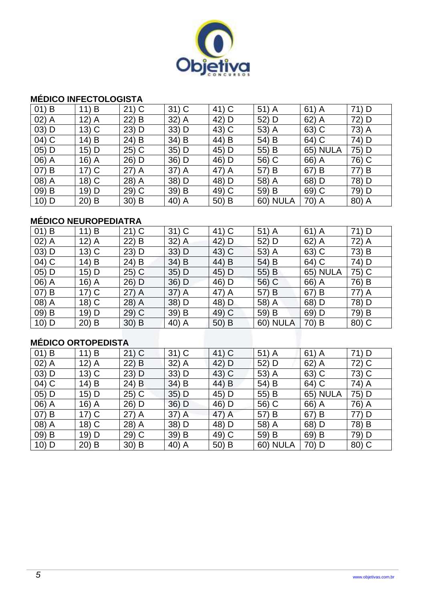

#### **MÉDICO INFECTOLOGISTA**

| $01)$ B | 11) B   | $21)$ C | $31)$ C | 41) C | $51)$ A         | $61)$ A         | 71) D |
|---------|---------|---------|---------|-------|-----------------|-----------------|-------|
| $02)$ A | $12)$ A | $22)$ B | 32) A   | 42) D | 52) D           | $62)$ A         | 72) D |
| $03)$ D | $13)$ C | $23)$ D | 33) D   | 43) C | 53) A           | 63) C           | 73) A |
| 04) C   | $14)$ B | $24)$ B | 34) B   | 44) B | 54) B           | 64) C           | 74) D |
| 05) D   | $15)$ D | $25)$ C | 35) D   | 45) D | 55) B           | <b>65) NULA</b> | 75) D |
| 06) A   | $16)$ A | 26) D   | 36) D   | 46) D | 56) C           | 66) A           | 76) C |
| 07) B   | $17)$ C | $27)$ A | 37) A   | 47) A | 57) B           | 67) B           | 77) B |
| 08) A   | $18)$ C | 28) A   | 38) D   | 48) D | 58) A           | 68) D           | 78) D |
| 09) B   | 19) D   | $29)$ C | 39) B   | 49) C | 59) B           | 69) C           | 79) D |
| 10) D   | $20)$ B | $30)$ B | 40) A   | 50) B | <b>60) NULA</b> | 70) A           | 80) A |

### **MÉDICO NEUROPEDIATRA**

| $01)$ B | B<br>11)            | $21)$ C | $31)$ C | 41) C | $51)$ A         | $61)$ A         | 71) D |
|---------|---------------------|---------|---------|-------|-----------------|-----------------|-------|
| $02)$ A | 12)<br>$\mathsf{A}$ | $22)$ B | $32)$ A | 42) D | 52) D           | $62)$ A         | 72) A |
| $03)$ D | $13)$ C             | $23)$ D | $33)$ D | 43) C | 53) A           | 63) C           | 73) B |
| 04) C   | 14) B               | 24) B   | 34) B   | 44) B | 54) B           | 64) C           | 74) D |
| 05) D   | $15)$ D             | $25)$ C | $35)$ D | 45) D | 55) B           | <b>65) NULA</b> | 75) C |
| 06) A   | $16)$ A             | $26)$ D | 36) D   | 46) D | 56) C           | 66) A           | 76) B |
| 07) B   | $17)$ C             | $27)$ A | $37)$ A | 47) A | 57) B           | 67) B           | 77) A |
| 08) A   | 18) C               | 28) A   | 38) D   | 48) D | 58) A           | 68) D           | 78) D |
| 09) B   | 19) D               | 29) C   | 39) B   | 49) C | 59) B           | 69) D           | 79) B |
| $10)$ D | $20)$ B             | $30)$ B | 40) A   | 50) B | <b>60) NULA</b> | 70) B           | 80) C |

### **MÉDICO ORTOPEDISTA**

| $01)$ B | 11) B   | $21)$ C | $31)$ C | 41) C | $51)$ A         | $61)$ A         | 71) D |
|---------|---------|---------|---------|-------|-----------------|-----------------|-------|
| $02)$ A | $12)$ A | $22)$ B | 32) A   | 42) D | 52) D           | $62)$ A         | 72) C |
| $03)$ D | $13)$ C | $23)$ D | 33) D   | 43) C | 53) A           | 63) C           | 73) C |
| $04)$ C | 14) B   | 24) B   | 34) B   | 44) B | 54) B           | 64) C           | 74) A |
| 05) D   | 15) D   | $25)$ C | $35)$ D | 45) D | 55) B           | <b>65) NULA</b> | 75) D |
| 06) A   | 16) A   | 26) D   | 36) D   | 46) D | 56) C           | 66) A           | 76) A |
| 07) B   | $17)$ C | $27)$ A | $37)$ A | 47) A | 57) B           | 67) B           | 77) D |
| 08) A   | 18) C   | 28) A   | 38) D   | 48) D | 58) A           | 68) D           | 78) B |
| 09) B   | 19) D   | $29)$ C | 39) B   | 49) C | 59) B           | 69) B           | 79) D |
| $10)$ D | $20)$ B | $30)$ B | 40) A   | 50) B | <b>60) NULA</b> | 70) D           | 80) C |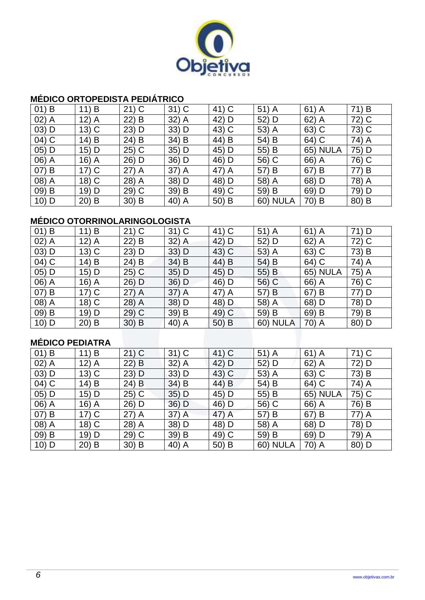

#### **MÉDICO ORTOPEDISTA PEDIÁTRICO**

| $01)$ B | 11) B   | $21)$ C | $31)$ C | 41) C | $51)$ A         | $61)$ A         | 71) B |
|---------|---------|---------|---------|-------|-----------------|-----------------|-------|
| $02)$ A | $12)$ A | $22)$ B | 32) A   | 42) D | 52) D           | $62)$ A         | 72) C |
| $03)$ D | $13)$ C | $23)$ D | 33) D   | 43) C | 53) A           | 63) C           | 73) C |
| 04) C   | $14)$ B | $24)$ B | 34) B   | 44) B | 54) B           | 64) C           | 74) A |
| 05) D   | $15)$ D | $25)$ C | 35) D   | 45) D | 55) B           | <b>65) NULA</b> | 75) D |
| 06) A   | $16)$ A | 26) D   | 36) D   | 46) D | 56) C           | 66) A           | 76) C |
| 07) B   | $17)$ C | $27)$ A | 37) A   | 47) A | 57) B           | 67) B           | 77) B |
| 08) A   | $18)$ C | 28) A   | 38) D   | 48) D | 58) A           | 68) D           | 78) A |
| 09) B   | $19)$ D | $29)$ C | 39) B   | 49) C | 59) B           | 69) D           | 79) D |
| $10)$ D | $20)$ B | $30)$ B | 40) A   | 50) B | <b>60) NULA</b> | 70) B           | 80) B |

#### **MÉDICO OTORRINOLARINGOLOGISTA**

| $01)$ B         | 11) B   | $21)$ C | $31)$ C | 41) C | $51)$ A         | $61)$ A         | 71) D |
|-----------------|---------|---------|---------|-------|-----------------|-----------------|-------|
| $02)$ A         | $12)$ A | 22) B   | $32)$ A | 42) D | 52) D           | $62)$ A         | 72) C |
| $03)$ D         | $13)$ C | 23) D   | 33) D   | 43) C | 53) A           | 63) C           | 73) B |
| 04) C           | 14) B   | 24) B   | 34) B   | 44) B | 54) B           | 64) C           | 74) A |
| $05)$ D         | 15) D   | $25)$ C | $35)$ D | 45) D | 55) B           | <b>65) NULA</b> | 75) A |
| 06) A           | 16) A   | 26) D   | 36) D   | 46) D | 56) C           | 66) A           | 76) C |
| $(07)$ B        | $17)$ C | 27) A   | $37)$ A | 47) A | 57) B           | 67) B           | 77) D |
| 08) A           | 18) C   | 28) A   | 38) D   | 48) D | 58) A           | 68) D           | 78) D |
| $09)$ B         | 19) D   | 29) C   | 39) B   | 49) C | 59) B           | 69) B           | 79) B |
| $10)$ D         | $20)$ B | $30)$ B | 40) A   | 50) B | <b>60) NULA</b> | 70) A           | 80) D |
|                 |         |         |         |       |                 |                 |       |
| MÉDICO PEDIATRA |         |         |         |       |                 |                 |       |

### **MÉDICO PEDIATRA**

| $01)$ B | B<br>11) | $21)$ C | $31)$ C | 41) C | $51)$ A         | $61)$ A         | 71) C |
|---------|----------|---------|---------|-------|-----------------|-----------------|-------|
| $02)$ A | $12)$ A  | 22) B   | $32)$ A | 42) D | 52) D           | $62)$ A         | 72) D |
| $03)$ D | $13)$ C  | $23)$ D | 33) D   | 43) C | 53) A           | 63) C           | 73) B |
| 04) C   | 14) B    | 24) B   | $34)$ B | 44) B | 54) B           | 64) C           | 74) A |
| 05) D   | 15) D    | $25)$ C | $35)$ D | 45) D | 55) B           | <b>65) NULA</b> | 75) C |
| 06) A   | $16)$ A  | 26) D   | 36) D   | 46) D | 56) C           | 66) A           | 76) B |
| 07) B   | $17)$ C  | $27)$ A | $37)$ A | 47) A | 57) B           | 67) B           | 77) A |
| 08) A   | $18)$ C  | 28) A   | 38) D   | 48) D | 58) A           | 68) D           | 78) D |
| 09) B   | 19) D    | $29)$ C | 39) B   | 49) C | 59) B           | 69) D           | 79) A |
| $10)$ D | $20)$ B  | $30)$ B | 40) A   | 50) B | <b>60) NULA</b> | 70) A           | 80) D |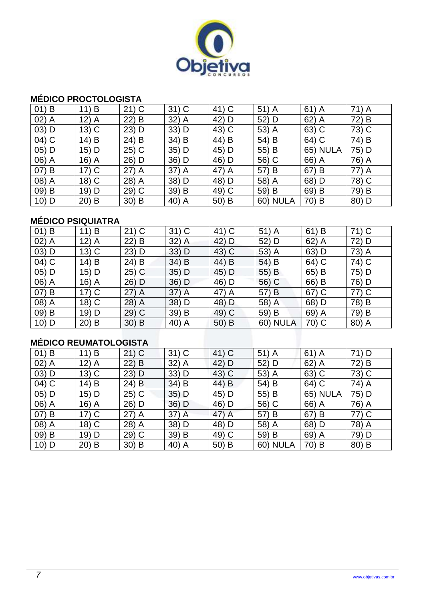

#### **MÉDICO PROCTOLOGISTA**

| $01)$ B | 11) B   | $21)$ C | $31)$ C | 41) C | $51)$ A         | $61)$ A         | 71) A |
|---------|---------|---------|---------|-------|-----------------|-----------------|-------|
| $02)$ A | $12)$ A | $22)$ B | 32) A   | 42) D | 52) D           | $62)$ A         | 72) B |
| $03)$ D | $13)$ C | $23)$ D | $33)$ D | 43) C | 53) A           | 63) C           | 73) C |
| 04) C   | $14)$ B | $24)$ B | 34) B   | 44) B | 54) B           | 64) C           | 74) B |
| 05) D   | $15)$ D | $25)$ C | 35) D   | 45) D | 55) B           | <b>65) NULA</b> | 75) D |
| 06) A   | $16)$ A | 26) D   | 36) D   | 46) D | 56) C           | 66) A           | 76) A |
| 07) B   | $17)$ C | $27)$ A | 37) A   | 47) A | 57) B           | 67) B           | 77) A |
| 08) A   | $18)$ C | 28) A   | 38) D   | 48) D | 58) A           | 68) D           | 78) C |
| 09) B   | 19) D   | $29)$ C | 39) B   | 49) C | 59) B           | 69) B           | 79) B |
| 10) D   | $20)$ B | $30)$ B | 40) A   | 50) B | <b>60) NULA</b> | 70) B           | 80) D |

### **MÉDICO PSIQUIATRA**

| $01)$ B | 11) B                          | $21)$ C | $31)$ C | 41) C | $51)$ A         | 61) B   | 71) C |  |  |
|---------|--------------------------------|---------|---------|-------|-----------------|---------|-------|--|--|
| $02)$ A | $12)$ A                        | $22)$ B | $32)$ A | 42) D | 52) D           | $62)$ A | 72) D |  |  |
| $03)$ D | $13)$ C                        | $23)$ D | 33) D   | 43) C | 53) A           | 63) D   | 73) A |  |  |
| 04) C   | 14) B                          | 24) B   | 34) B   | 44) B | 54) B           | 64) C   | 74) C |  |  |
| $05)$ D | 15) D                          | $25)$ C | 35) D   | 45) D | 55) B           | 65) B   | 75) D |  |  |
| 06) A   | 16) A                          | 26) D   | 36) D   | 46) D | 56) C           | 66) B   | 76) D |  |  |
| 07) B   | $17)$ C                        | $27)$ A | 37) A   | 47) A | 57) B           | $67)$ C | 77) C |  |  |
| 08) A   | $18)$ C                        | 28) A   | 38) D   | 48) D | 58) A           | 68) D   | 78) B |  |  |
| 09) B   | 19) D                          | 29) C   | 39) B   | 49) C | 59) B           | 69) A   | 79) B |  |  |
| $10)$ D | $20)$ B                        | $30)$ B | 40) A   | 50) B | <b>60) NULA</b> | 70) C   | 80) A |  |  |
|         |                                |         |         |       |                 |         |       |  |  |
|         | <b>MÉDICO RELIMATOL OGISTA</b> |         |         |       |                 |         |       |  |  |

### **MÉDICO REUMATOLOGISTA**

| $01)$ B | 11) B   | $21)$ C | $31)$ C | 41) C | $51)$ A         | $61)$ A         | 71) D |
|---------|---------|---------|---------|-------|-----------------|-----------------|-------|
| $02)$ A | $12)$ A | $22)$ B | 32) A   | 42) D | 52) D           | $62)$ A         | 72) B |
| $03)$ D | $13)$ C | $23)$ D | $33)$ D | 43) C | 53) A           | 63) C           | 73) C |
| 04) C   | 14) B   | 24) B   | 34) B   | 44) B | 54) B           | 64) C           | 74) A |
| $05)$ D | 15) D   | $25)$ C | $35)$ D | 45) D | 55) B           | <b>65) NULA</b> | 75) D |
| 06) A   | $16)$ A | 26) D   | 36) D   | 46) D | 56) C           | 66) A           | 76) A |
| 07) B   | $17)$ C | $27)$ A | $37)$ A | 47) A | 57) B           | 67) B           | 77) C |
| 08) A   | $18)$ C | 28) A   | 38) D   | 48) D | 58) A           | 68) D           | 78) A |
| 09) B   | 19) D   | $29)$ C | 39) B   | 49) C | 59) B           | 69) A           | 79) D |
| $10)$ D | $20)$ B | $30)$ B | 40) A   | 50) B | <b>60) NULA</b> | 70) B           | 80) B |